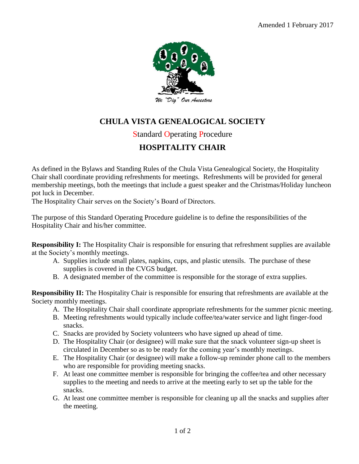

## **CHULA VISTA GENEALOGICAL SOCIETY**

## Standard Operating Procedure

## **HOSPITALITY CHAIR**

As defined in the Bylaws and Standing Rules of the Chula Vista Genealogical Society, the Hospitality Chair shall coordinate providing refreshments for meetings. Refreshments will be provided for general membership meetings, both the meetings that include a guest speaker and the Christmas/Holiday luncheon pot luck in December.

The Hospitality Chair serves on the Society's Board of Directors.

The purpose of this Standard Operating Procedure guideline is to define the responsibilities of the Hospitality Chair and his/her committee.

**Responsibility I:** The Hospitality Chair is responsible for ensuring that refreshment supplies are available at the Society's monthly meetings.

- A. Supplies include small plates, napkins, cups, and plastic utensils. The purchase of these supplies is covered in the CVGS budget.
- B. A designated member of the committee is responsible for the storage of extra supplies.

**Responsibility II:** The Hospitality Chair is responsible for ensuring that refreshments are available at the Society monthly meetings.

- A. The Hospitality Chair shall coordinate appropriate refreshments for the summer picnic meeting.
- B. Meeting refreshments would typically include coffee/tea/water service and light finger-food snacks.
- C. Snacks are provided by Society volunteers who have signed up ahead of time.
- D. The Hospitality Chair (or designee) will make sure that the snack volunteer sign-up sheet is circulated in December so as to be ready for the coming year's monthly meetings.
- E. The Hospitality Chair (or designee) will make a follow-up reminder phone call to the members who are responsible for providing meeting snacks.
- F. At least one committee member is responsible for bringing the coffee/tea and other necessary supplies to the meeting and needs to arrive at the meeting early to set up the table for the snacks.
- G. At least one committee member is responsible for cleaning up all the snacks and supplies after the meeting.